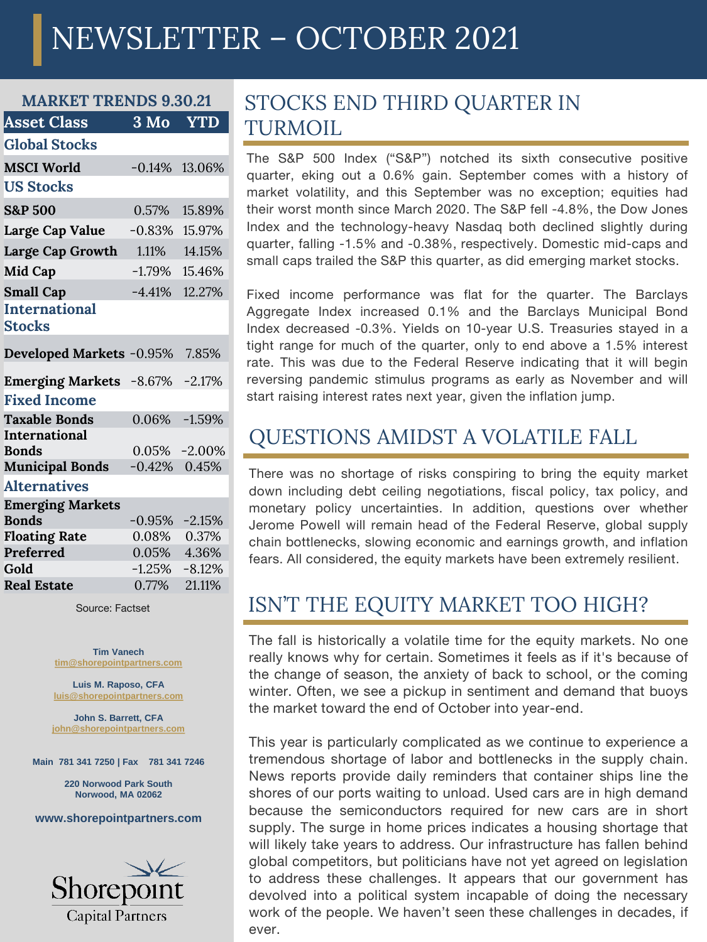# NEWSLETTER – OCTOBER 2021

| <b>WARNET</b><br>I KENDS 9.50.ZI        |                            |                  |
|-----------------------------------------|----------------------------|------------------|
| <b>Asset Class</b>                      | $3 \overline{\mathrm{Mo}}$ | <b>YTD</b>       |
| <b>Global Stocks</b>                    |                            |                  |
| <b>MSCI World</b>                       | $-0.14%$                   | 13.06%           |
| <b>US Stocks</b>                        |                            |                  |
| <b>S&amp;P 500</b>                      | 0.57%                      | 15.89%           |
| Large Cap Value                         | $-0.83%$                   | 15.97%           |
| Large Cap Growth                        | 1.11%                      | 14.15%           |
| Mid Cap                                 | $-1.79\%$                  | 15.46%           |
| <b>Small Cap</b>                        | $-4.41%$                   | 12.27%           |
| <b>International</b><br><b>Stocks</b>   |                            |                  |
| Developed Markets -0.95%                |                            | 7.85%            |
| <b>Emerging Markets</b> -8.67%          |                            | $-2.17%$         |
| <b>Fixed Income</b>                     |                            |                  |
| <b>Taxable Bonds</b>                    | $0.06\%$                   | $-1.59%$         |
| <b>International</b><br><b>Bonds</b>    |                            | $0.05\% -2.00\%$ |
| <b>Municipal Bonds</b>                  | $-0.42%$                   | 0.45%            |
| <b>Alternatives</b>                     |                            |                  |
| <b>Emerging Markets</b><br><b>Bonds</b> | $-0.95\% -2.15\%$          |                  |
| <b>Floating Rate</b>                    |                            | 0.08% 0.37%      |
| Preferred                               | 0.05%                      | 4.36%            |
| Gold                                    | $-1.25%$                   | $-8.12%$         |

**MARKET OF STRENG** 

#### 0.77% **Real Estate** 0.77% 21.11%

Source: Factset

**Tim Vanech [tim@shorepointpartners.com](mailto:tim@shorepointpartners.com)**

**Luis M. Raposo, CFA [luis@shorepointpartners.com](mailto:luis@shorepointpartners.com)**

**John S. Barrett, CFA [john@shorepointpartners.com](mailto:luis@shorepointpartners.com)**

**Main 781 341 7250 | Fax 781 341 7246**

**220 Norwood Park South Norwood, MA 02062**

#### **www.shorepointpartners.com**



### STOCKS END THIRD QUARTER IN TURMOIL

The S&P 500 Index ("S&P") notched its sixth consecutive positive quarter, eking out a 0.6% gain. September comes with a history of market volatility, and this September was no exception; equities had their worst month since March 2020. The S&P fell -4.8%, the Dow Jones Index and the technology-heavy Nasdaq both declined slightly during quarter, falling -1.5% and -0.38%, respectively. Domestic mid-caps and small caps trailed the S&P this quarter, as did emerging market stocks.

Fixed income performance was flat for the quarter. The Barclays Aggregate Index increased 0.1% and the Barclays Municipal Bond Index decreased -0.3%. Yields on 10-year U.S. Treasuries stayed in a tight range for much of the quarter, only to end above a 1.5% interest rate. This was due to the Federal Reserve indicating that it will begin reversing pandemic stimulus programs as early as November and will start raising interest rates next year, given the inflation jump.

#### QUESTIONS AMIDST A VOLATILE FALL

There was no shortage of risks conspiring to bring the equity market down including debt ceiling negotiations, fiscal policy, tax policy, and monetary policy uncertainties. In addition, questions over whether Jerome Powell will remain head of the Federal Reserve, global supply chain bottlenecks, slowing economic and earnings growth, and inflation fears. All considered, the equity markets have been extremely resilient.

#### ISN'T THE EQUITY MARKET TOO HIGH?

The fall is historically a volatile time for the equity markets. No one really knows why for certain. Sometimes it feels as if it's because of the change of season, the anxiety of back to school, or the coming winter. Often, we see a pickup in sentiment and demand that buoys the market toward the end of October into year-end.

This year is particularly complicated as we continue to experience a tremendous shortage of labor and bottlenecks in the supply chain. News reports provide daily reminders that container ships line the shores of our ports waiting to unload. Used cars are in high demand because the semiconductors required for new cars are in short supply. The surge in home prices indicates a housing shortage that will likely take years to address. Our infrastructure has fallen behind global competitors, but politicians have not yet agreed on legislation to address these challenges. It appears that our government has devolved into a political system incapable of doing the necessary work of the people. We haven't seen these challenges in decades, if ever.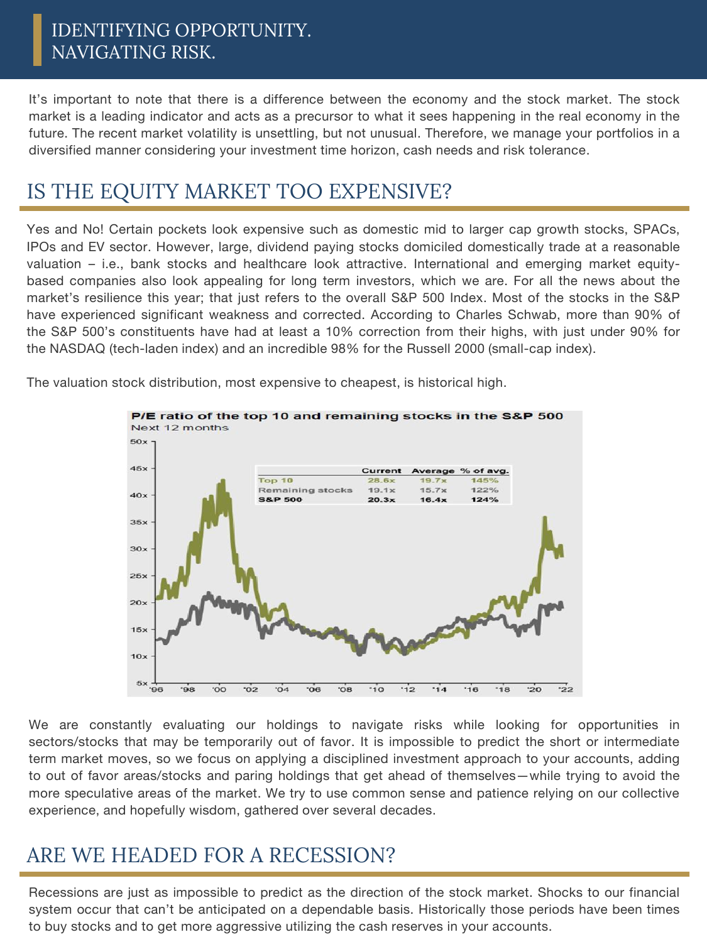#### IDENTIFYING OPPORTUNITY. NAVIGATING RISK.

It's important to note that there is a difference between the economy and the stock market. The stock market is a leading indicator and acts as a precursor to what it sees happening in the real economy in the future. The recent market volatility is unsettling, but not unusual. Therefore, we manage your portfolios in a diversified manner considering your investment time horizon, cash needs and risk tolerance.

# IS THE EQUITY MARKET TOO EXPENSIVE?

Yes and No! Certain pockets look expensive such as domestic mid to larger cap growth stocks, SPACs, IPOs and EV sector. However, large, dividend paying stocks domiciled domestically trade at a reasonable valuation – i.e., bank stocks and healthcare look attractive. International and emerging market equitybased companies also look appealing for long term investors, which we are. For all the news about the market's resilience this year; that just refers to the overall S&P 500 Index. Most of the stocks in the S&P have experienced significant weakness and corrected. According to Charles Schwab, more than 90% of the S&P 500's constituents have had at least a 10% correction from their highs, with just under 90% for the NASDAQ (tech-laden index) and an incredible 98% for the Russell 2000 (small-cap index).

> P/E ratio of the top 10 and remaining stocks in the S&P 500 Next 12 months  $50x$  $45x$ Average % of avg. Current Top 10  $28.6x$ **Remaining stocks**  $19.1x$  $15.7x$  $122%$  $40<sub>2</sub>$ **S&P 500**  $20.3x$  $124%$  $16.4x$  $35x$ 30  $25x$  $20<sub>2</sub>$  $15x$  $10<sub>2</sub>$  $5x$  $\frac{1}{22}$ oo  $\overline{0}2$  $04$  $\overline{\text{cos}}$  $10^{-1}$  $\frac{1}{2}$  $\overline{14}$  $16'$  $.18$  $\dot{20}$ '96  $98$  $06'$

The valuation stock distribution, most expensive to cheapest, is historical high.

We are constantly evaluating our holdings to navigate risks while looking for opportunities in sectors/stocks that may be temporarily out of favor. It is impossible to predict the short or intermediate term market moves, so we focus on applying a disciplined investment approach to your accounts, adding to out of favor areas/stocks and paring holdings that get ahead of themselves—while trying to avoid the more speculative areas of the market. We try to use common sense and patience relying on our collective experience, and hopefully wisdom, gathered over several decades.

# ARE WE HEADED FOR A RECESSION?

Recessions are just as impossible to predict as the direction of the stock market. Shocks to our financial system occur that can't be anticipated on a dependable basis. Historically those periods have been times to buy stocks and to get more aggressive utilizing the cash reserves in your accounts.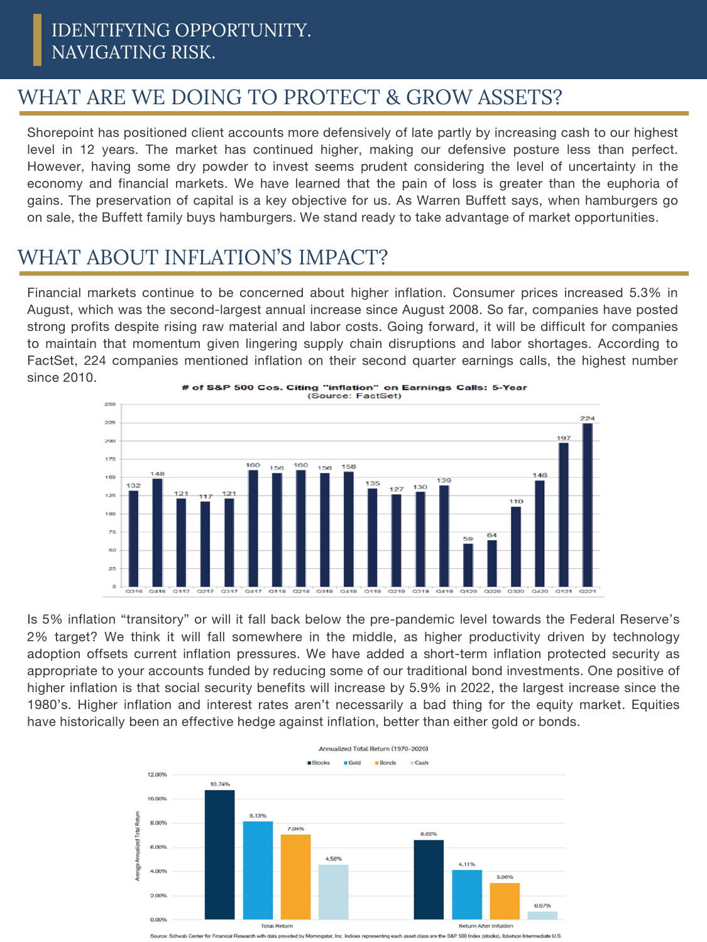# WHAT ARE WE DOING TO PROTECT & GROW ASSETS?

Shorepoint has positioned client accounts more defensively of late partly by increasing cash to our highest level in 12 years. The market has continued higher, making our defensive posture less than perfect. However, having some dry powder to invest seems prudent considering the level of uncertainty in the economy and financial markets. We have learned that the pain of loss is greater than the euphoria of gains. The preservation of capital is a key objective for us. As Warren Buffett says, when hamburgers go on sale, the Buffett family buys hamburgers. We stand ready to take advantage of market opportunities.

# WHAT ABOUT INFLATION'S IMPACT?

Financial markets continue to be concerned about higher inflation. Consumer prices increased 5.3% in August, which was the second-largest annual increase since August 2008. So far, companies have posted strong profits despite rising raw material and labor costs. Going forward, it will be difficult for companies to maintain that momentum given lingering supply chain disruptions and labor shortages. According to FactSet, 224 companies mentioned inflation on their second quarter earnings calls, the highest number since 2010.



Is 5% inflation "transitory" or will it fall back below the pre-pandemic level towards the Federal Reserve's 2% target? We think it will fall somewhere in the middle, as higher productivity driven by technology adoption offsets current inflation pressures. We have added a short-term inflation protected security as appropriate to your accounts funded by reducing some of our traditional bond investments. One positive of higher inflation is that social security benefits will increase by 5.9% in 2022, the largest increase since the 1980's. Higher inflation and interest rates aren't necessarily a bad thing for the equity market. Equities have historically been an effective hedge against inflation, better than either gold or bonds.